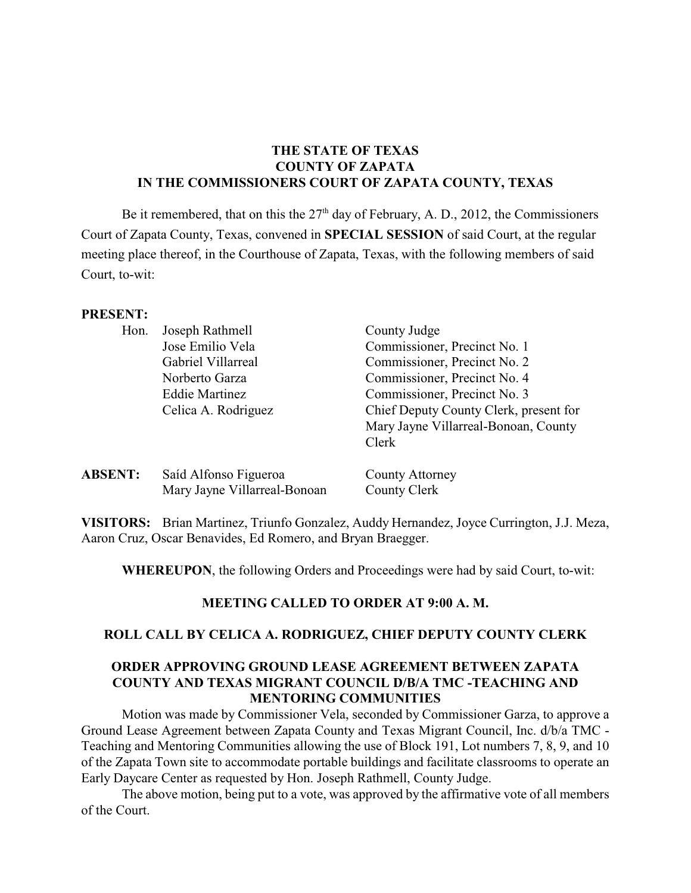# **THE STATE OF TEXAS COUNTY OF ZAPATA IN THE COMMISSIONERS COURT OF ZAPATA COUNTY, TEXAS**

Be it remembered, that on this the  $27<sup>th</sup>$  day of February, A. D., 2012, the Commissioners Court of Zapata County, Texas, convened in **SPECIAL SESSION** of said Court, at the regular meeting place thereof, in the Courthouse of Zapata, Texas, with the following members of said Court, to-wit:

#### **PRESENT:**

| Hon.           | Joseph Rathmell              | County Judge                           |
|----------------|------------------------------|----------------------------------------|
|                | Jose Emilio Vela             | Commissioner, Precinct No. 1           |
|                | Gabriel Villarreal           | Commissioner, Precinct No. 2           |
|                | Norberto Garza               | Commissioner, Precinct No. 4           |
|                | Eddie Martinez               | Commissioner, Precinct No. 3           |
|                | Celica A. Rodriguez          | Chief Deputy County Clerk, present for |
|                |                              | Mary Jayne Villarreal-Bonoan, County   |
|                |                              | Clerk                                  |
| <b>ABSENT:</b> | Saíd Alfonso Figueroa        | County Attorney                        |
|                | Mary Jayne Villarreal-Bonoan | County Clerk                           |
|                |                              |                                        |

**VISITORS:** Brian Martinez, Triunfo Gonzalez, Auddy Hernandez, Joyce Currington, J.J. Meza, Aaron Cruz, Oscar Benavides, Ed Romero, and Bryan Braegger.

**WHEREUPON**, the following Orders and Proceedings were had by said Court, to-wit:

## **MEETING CALLED TO ORDER AT 9:00 A. M.**

#### **ROLL CALL BY CELICA A. RODRIGUEZ, CHIEF DEPUTY COUNTY CLERK**

### **ORDER APPROVING GROUND LEASE AGREEMENT BETWEEN ZAPATA COUNTY AND TEXAS MIGRANT COUNCIL D/B/A TMC -TEACHING AND MENTORING COMMUNITIES**

Motion was made by Commissioner Vela, seconded by Commissioner Garza, to approve a Ground Lease Agreement between Zapata County and Texas Migrant Council, Inc. d/b/a TMC - Teaching and Mentoring Communities allowing the use of Block 191, Lot numbers 7, 8, 9, and 10 of the Zapata Town site to accommodate portable buildings and facilitate classrooms to operate an Early Daycare Center as requested by Hon. Joseph Rathmell, County Judge.

The above motion, being put to a vote, was approved by the affirmative vote of all members of the Court.